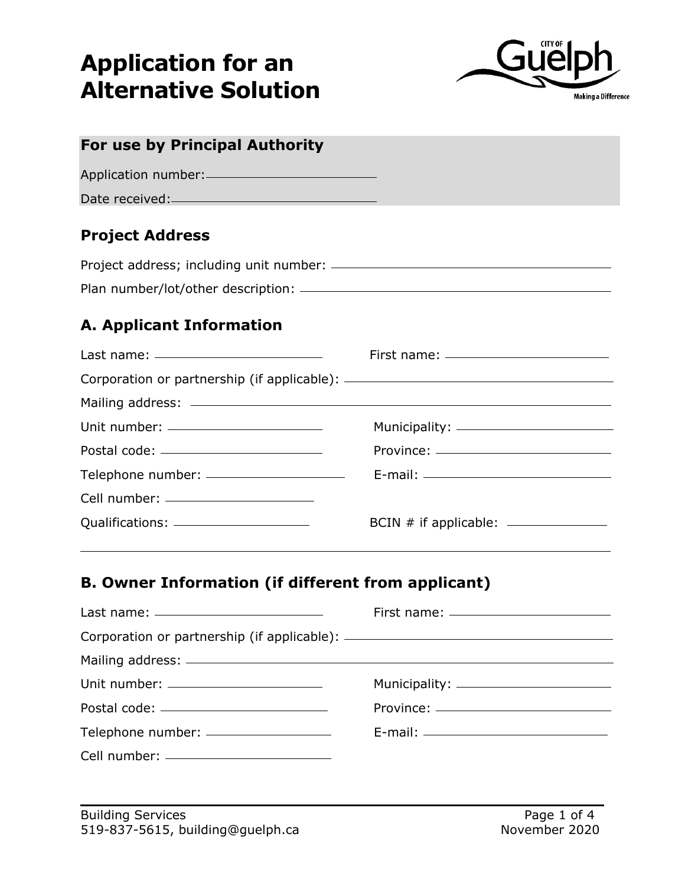# **Application for an Alternative Solution**



| For use by Principal Authority                            |                                                                                                                                                                                                                                                                       |
|-----------------------------------------------------------|-----------------------------------------------------------------------------------------------------------------------------------------------------------------------------------------------------------------------------------------------------------------------|
| Application number: 2008                                  |                                                                                                                                                                                                                                                                       |
|                                                           |                                                                                                                                                                                                                                                                       |
| <b>Project Address</b>                                    |                                                                                                                                                                                                                                                                       |
|                                                           |                                                                                                                                                                                                                                                                       |
|                                                           |                                                                                                                                                                                                                                                                       |
| <b>A. Applicant Information</b>                           |                                                                                                                                                                                                                                                                       |
|                                                           | First name: __________________________                                                                                                                                                                                                                                |
|                                                           |                                                                                                                                                                                                                                                                       |
|                                                           |                                                                                                                                                                                                                                                                       |
| Unit number: ________________________                     |                                                                                                                                                                                                                                                                       |
|                                                           |                                                                                                                                                                                                                                                                       |
|                                                           |                                                                                                                                                                                                                                                                       |
| Cell number: _______________________                      |                                                                                                                                                                                                                                                                       |
|                                                           | BCIN # if applicable: ______________<br>the control of the control of the control of the control of the control of the control of the control of the control of the control of the control of the control of the control of the control of the control of the control |
| <b>B. Owner Information (if different from applicant)</b> |                                                                                                                                                                                                                                                                       |
|                                                           | First name: _________________________                                                                                                                                                                                                                                 |
|                                                           |                                                                                                                                                                                                                                                                       |
|                                                           |                                                                                                                                                                                                                                                                       |
| Unit number: ________________________                     |                                                                                                                                                                                                                                                                       |
|                                                           |                                                                                                                                                                                                                                                                       |
| Telephone number: ____________________                    |                                                                                                                                                                                                                                                                       |

Cell number: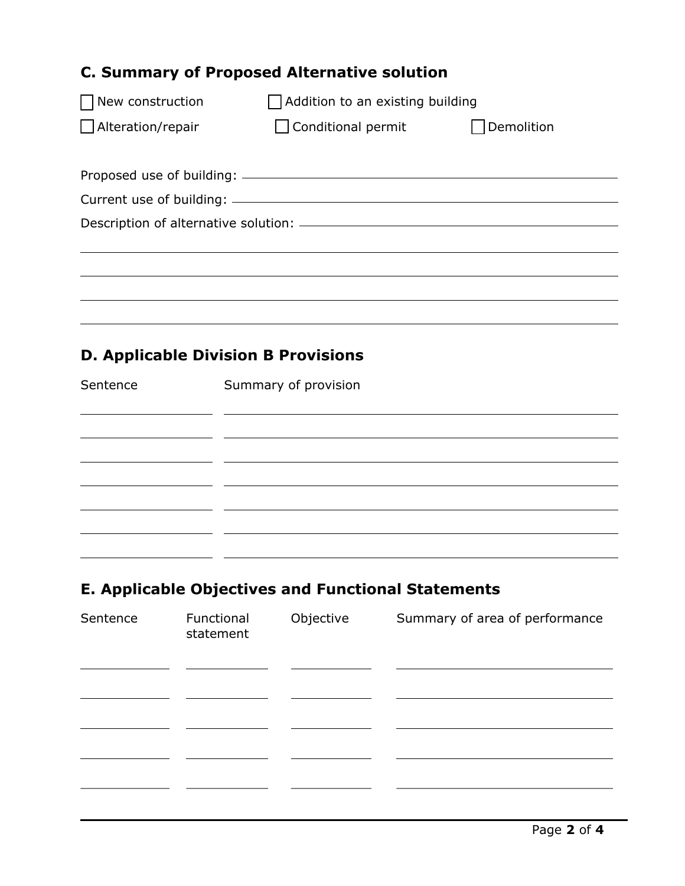| <b>C. Summary of Proposed Alternative solution</b> |                                                                                   |            |  |  |  |
|----------------------------------------------------|-----------------------------------------------------------------------------------|------------|--|--|--|
| New construction                                   | Addition to an existing building                                                  |            |  |  |  |
| Alteration/repair                                  | □ Conditional permit                                                              | Demolition |  |  |  |
|                                                    |                                                                                   |            |  |  |  |
|                                                    |                                                                                   |            |  |  |  |
|                                                    |                                                                                   |            |  |  |  |
|                                                    | ,我们也不能在这里的时候,我们也不能在这里的时候,我们也不能会在这里的时候,我们也不能会在这里的时候,我们也不能会在这里的时候,我们也不能会在这里的时候,我们也不 |            |  |  |  |
|                                                    |                                                                                   |            |  |  |  |
|                                                    |                                                                                   |            |  |  |  |
|                                                    |                                                                                   |            |  |  |  |
|                                                    | <b>D. Applicable Division B Provisions</b>                                        |            |  |  |  |
| Sentence                                           | Summary of provision                                                              |            |  |  |  |
|                                                    |                                                                                   |            |  |  |  |
|                                                    |                                                                                   |            |  |  |  |
|                                                    |                                                                                   |            |  |  |  |

## **E. Applicable Objectives and Functional Statements**

| Sentence | Functional<br>statement | Objective | Summary of area of performance |
|----------|-------------------------|-----------|--------------------------------|
|          |                         |           |                                |
|          |                         |           |                                |
|          |                         |           |                                |
|          |                         |           |                                |
|          |                         |           |                                |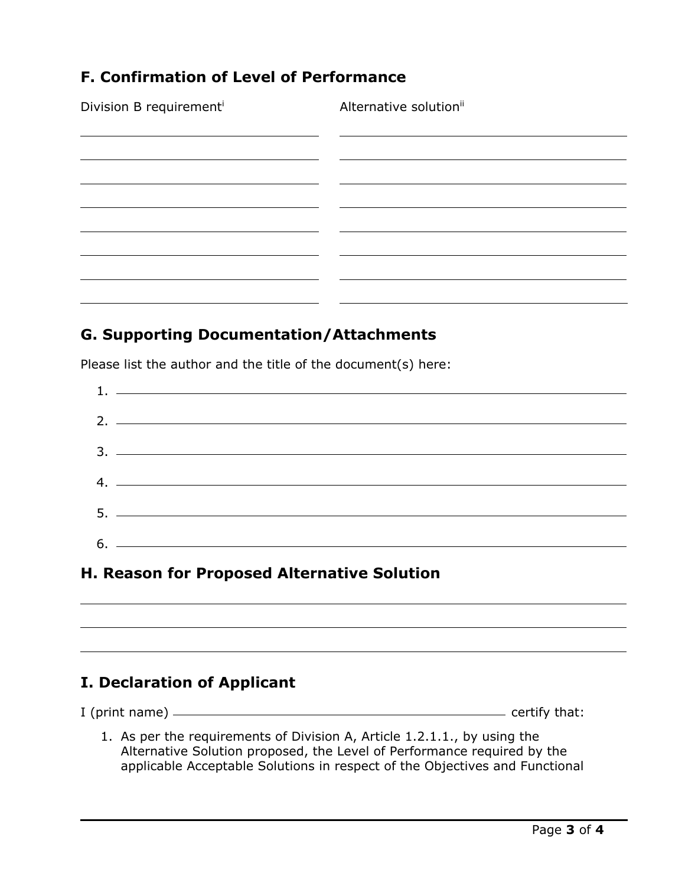### **F. Confirmation of Level of Performance**

Division B requirement<sup>i</sup> Alternative solution<sup>ii</sup> <u> 1989 - Johann Barn, mars et al. (</u>

#### **G. Supporting Documentation/Attachments**

Please list the author and the title of the document(s) here:

| $1.$ $\frac{1}{2}$ $\frac{1}{2}$ $\frac{1}{2}$ $\frac{1}{2}$ $\frac{1}{2}$ $\frac{1}{2}$ $\frac{1}{2}$ $\frac{1}{2}$ $\frac{1}{2}$ $\frac{1}{2}$ $\frac{1}{2}$ $\frac{1}{2}$ $\frac{1}{2}$ $\frac{1}{2}$ $\frac{1}{2}$ $\frac{1}{2}$ $\frac{1}{2}$ $\frac{1}{2}$ $\frac{1}{2}$ $\frac{1}{2}$ $\frac{1}{2}$ $\frac{1}{$ |
|------------------------------------------------------------------------------------------------------------------------------------------------------------------------------------------------------------------------------------------------------------------------------------------------------------------------|
|                                                                                                                                                                                                                                                                                                                        |
| $2.$ $\overline{\phantom{a}}$                                                                                                                                                                                                                                                                                          |
|                                                                                                                                                                                                                                                                                                                        |
|                                                                                                                                                                                                                                                                                                                        |
|                                                                                                                                                                                                                                                                                                                        |
| $4.$ $\overline{\phantom{a}}$                                                                                                                                                                                                                                                                                          |
|                                                                                                                                                                                                                                                                                                                        |
|                                                                                                                                                                                                                                                                                                                        |
| $6.$ $\overline{\phantom{a}}$                                                                                                                                                                                                                                                                                          |
|                                                                                                                                                                                                                                                                                                                        |

### **H. Reason for Proposed Alternative Solution**

### **I. Declaration of Applicant**

I (print name) certify that:

1. As per the requirements of Division A, Article 1.2.1.1., by using the Alternative Solution proposed, the Level of Performance required by the applicable Acceptable Solutions in respect of the Objectives and Functional